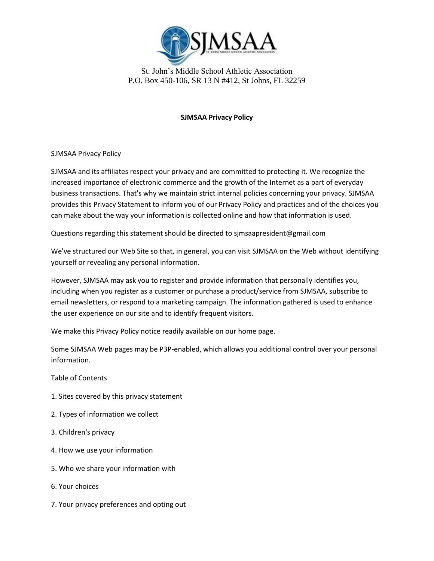

## **SJMSAA Privacy Policy**

SJMSAA Privacy Policy

SJMSAA and its affiliates respect your privacy and are committed to protecting it. We recognize the increased importance of electronic commerce and the growth of the Internet as a part of everyday business transactions. That's why we maintain strict internal policies concerning your privacy. SJMSAA provides this Privacy Statement to inform you of our Privacy Policy and practices and of the choices you can make about the way your information is collected online and how that information is used.

Questions regarding this statement should be directed to sjmsaapresident@gmail.com

We've structured our Web Site so that, in general, you can visit SJMSAA on the Web without identifying yourself or revealing any personal information.

However, SJMSAA may ask you to register and provide information that personally identifies you, including when you register as a customer or purchase a product/service from SJMSAA, subscribe to email newsletters, or respond to a marketing campaign. The information gathered is used to enhance the user experience on our site and to identify frequent visitors.

We make this Privacy Policy notice readily available on our home page.

Some SJMSAA Web pages may be P3P-enabled, which allows you additional control over your personal information.

Table of Contents

- 1. Sites covered by this privacy statement
- 2. Types of information we collect
- 3. Children's privacy
- 4. How we use your information
- 5. Who we share your information with
- 6. Your choices
- 7. Your privacy preferences and opting out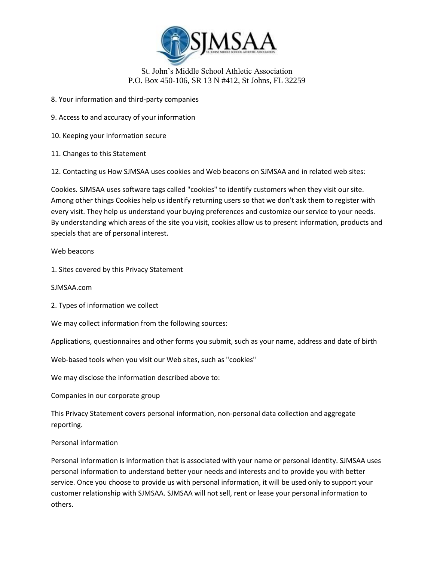

8. Your information and third-party companies

9. Access to and accuracy of your information

10. Keeping your information secure

11. Changes to this Statement

12. Contacting us How SJMSAA uses cookies and Web beacons on SJMSAA and in related web sites:

Cookies. SJMSAA uses software tags called "cookies" to identify customers when they visit our site. Among other things Cookies help us identify returning users so that we don't ask them to register with every visit. They help us understand your buying preferences and customize our service to your needs. By understanding which areas of the site you visit, cookies allow us to present information, products and specials that are of personal interest.

Web beacons

1. Sites covered by this Privacy Statement

SJMSAA.com

2. Types of information we collect

We may collect information from the following sources:

Applications, questionnaires and other forms you submit, such as your name, address and date of birth

Web-based tools when you visit our Web sites, such as "cookies"

We may disclose the information described above to:

Companies in our corporate group

This Privacy Statement covers personal information, non-personal data collection and aggregate reporting.

#### Personal information

Personal information is information that is associated with your name or personal identity. SJMSAA uses personal information to understand better your needs and interests and to provide you with better service. Once you choose to provide us with personal information, it will be used only to support your customer relationship with SJMSAA. SJMSAA will not sell, rent or lease your personal information to others.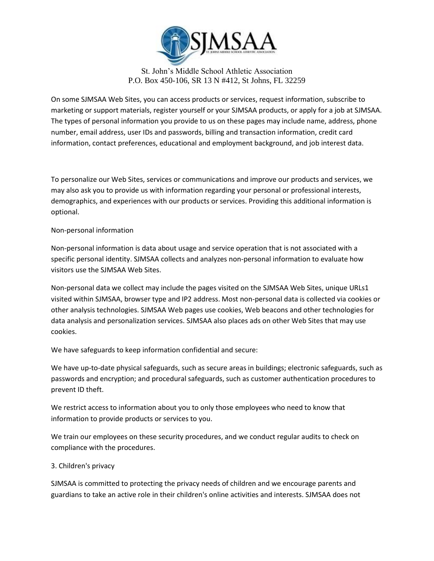

On some SJMSAA Web Sites, you can access products or services, request information, subscribe to marketing or support materials, register yourself or your SJMSAA products, or apply for a job at SJMSAA. The types of personal information you provide to us on these pages may include name, address, phone number, email address, user IDs and passwords, billing and transaction information, credit card information, contact preferences, educational and employment background, and job interest data.

To personalize our Web Sites, services or communications and improve our products and services, we may also ask you to provide us with information regarding your personal or professional interests, demographics, and experiences with our products or services. Providing this additional information is optional.

### Non-personal information

Non-personal information is data about usage and service operation that is not associated with a specific personal identity. SJMSAA collects and analyzes non-personal information to evaluate how visitors use the SJMSAA Web Sites.

Non-personal data we collect may include the pages visited on the SJMSAA Web Sites, unique URLs1 visited within SJMSAA, browser type and IP2 address. Most non-personal data is collected via cookies or other analysis technologies. SJMSAA Web pages use cookies, Web beacons and other technologies for data analysis and personalization services. SJMSAA also places ads on other Web Sites that may use cookies.

We have safeguards to keep information confidential and secure:

We have up-to-date physical safeguards, such as secure areas in buildings; electronic safeguards, such as passwords and encryption; and procedural safeguards, such as customer authentication procedures to prevent ID theft.

We restrict access to information about you to only those employees who need to know that information to provide products or services to you.

We train our employees on these security procedures, and we conduct regular audits to check on compliance with the procedures.

# 3. Children's privacy

SJMSAA is committed to protecting the privacy needs of children and we encourage parents and guardians to take an active role in their children's online activities and interests. SJMSAA does not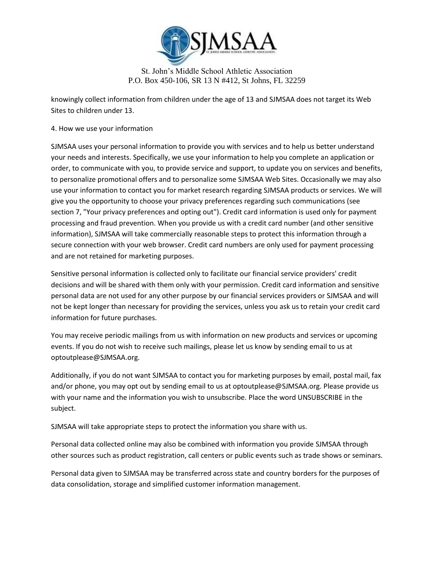

St. John's Middle School Athletic Association P.O. Box 450-106, SR 13 N #412, St Johns, FL 32259

knowingly collect information from children under the age of 13 and SJMSAA does not target its Web Sites to children under 13.

## 4. How we use your information

SJMSAA uses your personal information to provide you with services and to help us better understand your needs and interests. Specifically, we use your information to help you complete an application or order, to communicate with you, to provide service and support, to update you on services and benefits, to personalize promotional offers and to personalize some SJMSAA Web Sites. Occasionally we may also use your information to contact you for market research regarding SJMSAA products or services. We will give you the opportunity to choose your privacy preferences regarding such communications (see section 7, "Your privacy preferences and opting out"). Credit card information is used only for payment processing and fraud prevention. When you provide us with a credit card number (and other sensitive information), SJMSAA will take commercially reasonable steps to protect this information through a secure connection with your web browser. Credit card numbers are only used for payment processing and are not retained for marketing purposes.

Sensitive personal information is collected only to facilitate our financial service providers' credit decisions and will be shared with them only with your permission. Credit card information and sensitive personal data are not used for any other purpose by our financial services providers or SJMSAA and will not be kept longer than necessary for providing the services, unless you ask us to retain your credit card information for future purchases.

You may receive periodic mailings from us with information on new products and services or upcoming events. If you do not wish to receive such mailings, please let us know by sending email to us at optoutplease@SJMSAA.org.

Additionally, if you do not want SJMSAA to contact you for marketing purposes by email, postal mail, fax and/or phone, you may opt out by sending email to us at optoutplease@SJMSAA.org. Please provide us with your name and the information you wish to unsubscribe. Place the word UNSUBSCRIBE in the subject.

SJMSAA will take appropriate steps to protect the information you share with us.

Personal data collected online may also be combined with information you provide SJMSAA through other sources such as product registration, call centers or public events such as trade shows or seminars.

Personal data given to SJMSAA may be transferred across state and country borders for the purposes of data consolidation, storage and simplified customer information management.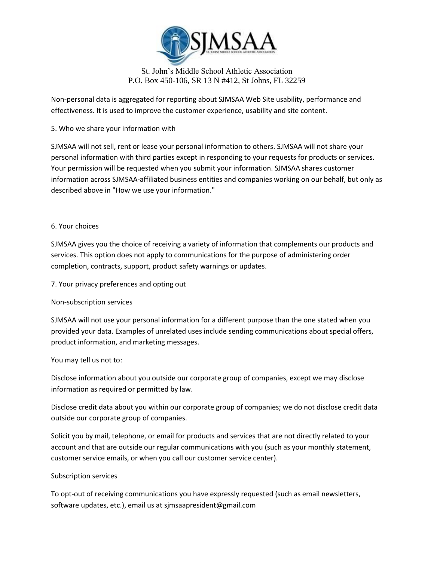

Non-personal data is aggregated for reporting about SJMSAA Web Site usability, performance and effectiveness. It is used to improve the customer experience, usability and site content.

# 5. Who we share your information with

SJMSAA will not sell, rent or lease your personal information to others. SJMSAA will not share your personal information with third parties except in responding to your requests for products or services. Your permission will be requested when you submit your information. SJMSAA shares customer information across SJMSAA-affiliated business entities and companies working on our behalf, but only as described above in "How we use your information."

#### 6. Your choices

SJMSAA gives you the choice of receiving a variety of information that complements our products and services. This option does not apply to communications for the purpose of administering order completion, contracts, support, product safety warnings or updates.

7. Your privacy preferences and opting out

#### Non-subscription services

SJMSAA will not use your personal information for a different purpose than the one stated when you provided your data. Examples of unrelated uses include sending communications about special offers, product information, and marketing messages.

#### You may tell us not to:

Disclose information about you outside our corporate group of companies, except we may disclose information as required or permitted by law.

Disclose credit data about you within our corporate group of companies; we do not disclose credit data outside our corporate group of companies.

Solicit you by mail, telephone, or email for products and services that are not directly related to your account and that are outside our regular communications with you (such as your monthly statement, customer service emails, or when you call our customer service center).

#### Subscription services

To opt-out of receiving communications you have expressly requested (such as email newsletters, software updates, etc.), email us at sjmsaapresident@gmail.com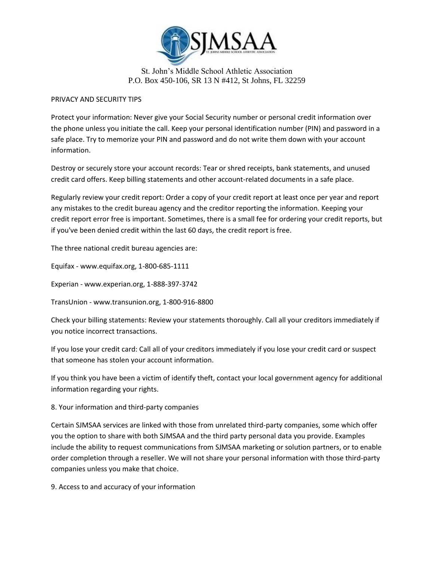

### PRIVACY AND SECURITY TIPS

Protect your information: Never give your Social Security number or personal credit information over the phone unless you initiate the call. Keep your personal identification number (PIN) and password in a safe place. Try to memorize your PIN and password and do not write them down with your account information.

Destroy or securely store your account records: Tear or shred receipts, bank statements, and unused credit card offers. Keep billing statements and other account-related documents in a safe place.

Regularly review your credit report: Order a copy of your credit report at least once per year and report any mistakes to the credit bureau agency and the creditor reporting the information. Keeping your credit report error free is important. Sometimes, there is a small fee for ordering your credit reports, but if you've been denied credit within the last 60 days, the credit report is free.

The three national credit bureau agencies are:

Equifax - www.equifax.org, 1-800-685-1111

Experian - www.experian.org, 1-888-397-3742

TransUnion - www.transunion.org, 1-800-916-8800

Check your billing statements: Review your statements thoroughly. Call all your creditors immediately if you notice incorrect transactions.

If you lose your credit card: Call all of your creditors immediately if you lose your credit card or suspect that someone has stolen your account information.

If you think you have been a victim of identify theft, contact your local government agency for additional information regarding your rights.

# 8. Your information and third-party companies

Certain SJMSAA services are linked with those from unrelated third-party companies, some which offer you the option to share with both SJMSAA and the third party personal data you provide. Examples include the ability to request communications from SJMSAA marketing or solution partners, or to enable order completion through a reseller. We will not share your personal information with those third-party companies unless you make that choice.

9. Access to and accuracy of your information